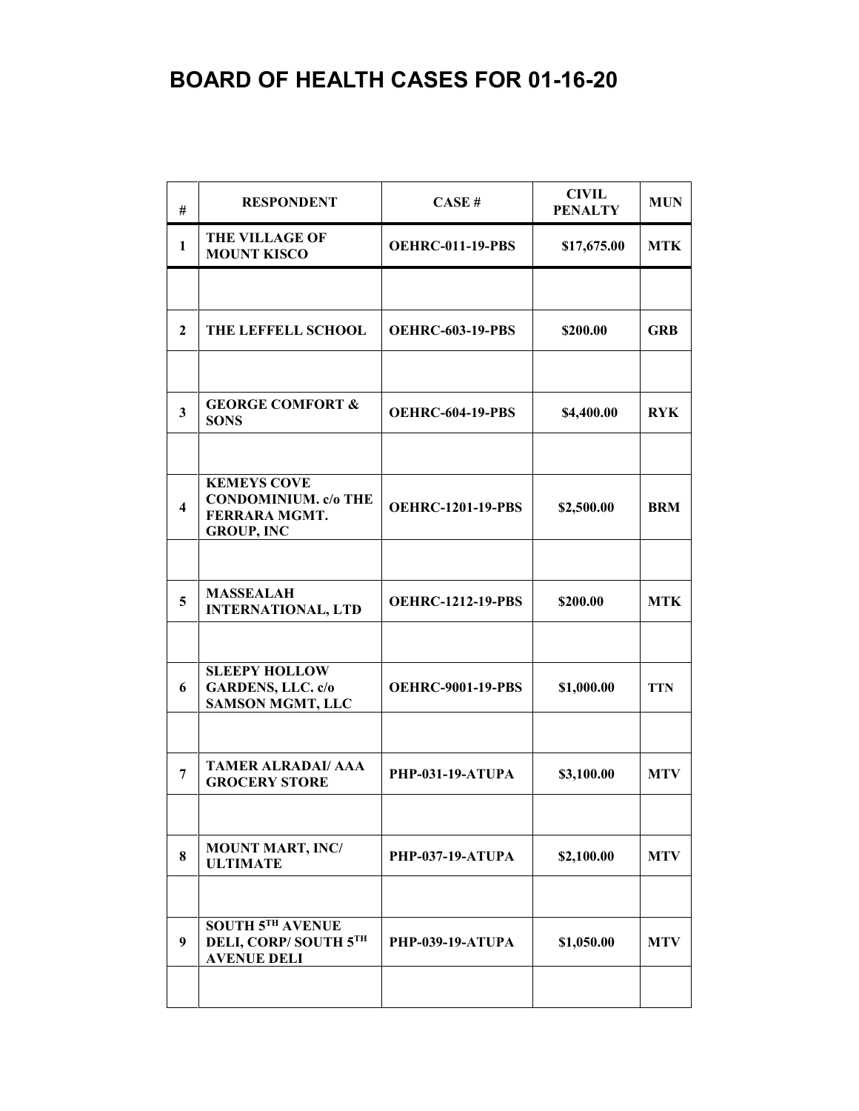## **BOARD OF HEALTH CASES FOR 01-16-20**

| #                       | <b>RESPONDENT</b>                                                                       | CASE#                    | <b>CIVIL</b><br><b>PENALTY</b> | <b>MUN</b> |
|-------------------------|-----------------------------------------------------------------------------------------|--------------------------|--------------------------------|------------|
| $\mathbf{1}$            | <b>THE VILLAGE OF</b><br><b>MOUNT KISCO</b>                                             | <b>OEHRC-011-19-PBS</b>  | \$17,675.00                    | <b>MTK</b> |
|                         |                                                                                         |                          |                                |            |
| $\mathbf{2}$            | <b>THE LEFFELL SCHOOL</b>                                                               | <b>OEHRC-603-19-PBS</b>  | \$200.00                       | <b>GRB</b> |
|                         |                                                                                         |                          |                                |            |
| $\overline{\mathbf{3}}$ | <b>GEORGE COMFORT &amp;</b><br><b>SONS</b>                                              | <b>OEHRC-604-19-PBS</b>  | \$4,400.00                     | <b>RYK</b> |
|                         |                                                                                         |                          |                                |            |
| $\overline{\mathbf{4}}$ | <b>KEMEYS COVE</b><br><b>CONDOMINIUM.</b> c/o THE<br>FERRARA MGMT.<br><b>GROUP, INC</b> | <b>OEHRC-1201-19-PBS</b> | \$2,500.00                     | <b>BRM</b> |
|                         |                                                                                         |                          |                                |            |
| 5                       | <b>MASSEALAH</b><br><b>INTERNATIONAL, LTD</b>                                           | <b>OEHRC-1212-19-PBS</b> | \$200.00                       | <b>MTK</b> |
|                         |                                                                                         |                          |                                |            |
| 6                       | <b>SLEEPY HOLLOW</b><br><b>GARDENS, LLC. c/o</b><br><b>SAMSON MGMT, LLC</b>             | <b>OEHRC-9001-19-PBS</b> | \$1,000.00                     | <b>TTN</b> |
|                         |                                                                                         |                          |                                |            |
| 7                       | <b>TAMER ALRADAI/ AAA</b><br><b>GROCERY STORE</b>                                       | <b>PHP-031-19-ATUPA</b>  | \$3,100.00                     | <b>MTV</b> |
|                         |                                                                                         |                          |                                |            |
| 8                       | <b>MOUNT MART, INC/</b><br><b>ULTIMATE</b>                                              | <b>PHP-037-19-ATUPA</b>  | \$2,100.00                     | <b>MTV</b> |
|                         |                                                                                         |                          |                                |            |
| 9                       | <b>SOUTH 5TH AVENUE</b><br>DELI, CORP/SOUTH 5TH<br><b>AVENUE DELI</b>                   | <b>PHP-039-19-ATUPA</b>  | \$1,050.00                     | <b>MTV</b> |
|                         |                                                                                         |                          |                                |            |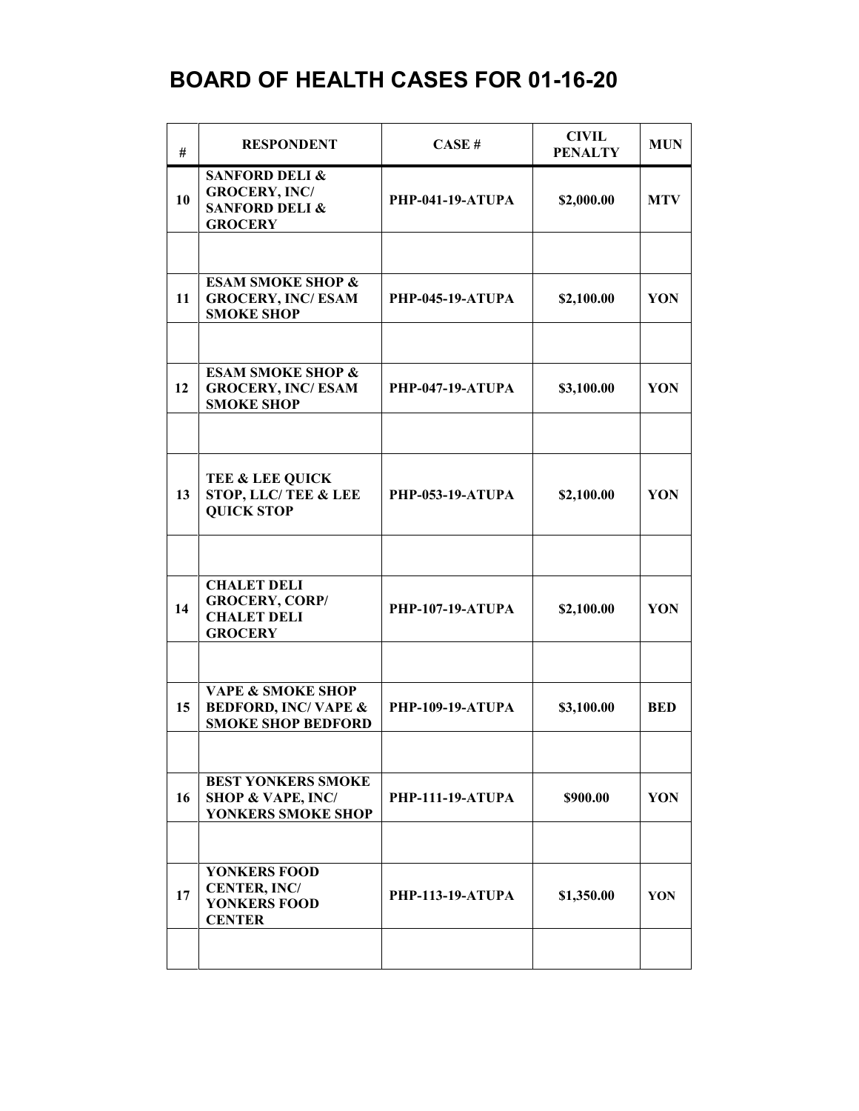## **BOARD OF HEALTH CASES FOR 01-16-20**

| #  | <b>RESPONDENT</b>                                                                                | CASE#                   | <b>CIVIL</b><br><b>PENALTY</b> | <b>MUN</b> |
|----|--------------------------------------------------------------------------------------------------|-------------------------|--------------------------------|------------|
| 10 | <b>SANFORD DELI &amp;</b><br><b>GROCERY, INC/</b><br><b>SANFORD DELI &amp;</b><br><b>GROCERY</b> | <b>PHP-041-19-ATUPA</b> | \$2,000.00                     | <b>MTV</b> |
|    |                                                                                                  |                         |                                |            |
| 11 | <b>ESAM SMOKE SHOP &amp;</b><br><b>GROCERY, INC/ESAM</b><br><b>SMOKE SHOP</b>                    | <b>PHP-045-19-ATUPA</b> | \$2,100.00                     | YON        |
|    |                                                                                                  |                         |                                |            |
| 12 | <b>ESAM SMOKE SHOP &amp;</b><br><b>GROCERY, INC/ESAM</b><br><b>SMOKE SHOP</b>                    | <b>PHP-047-19-ATUPA</b> | \$3,100.00                     | YON        |
|    |                                                                                                  |                         |                                |            |
| 13 | <b>TEE &amp; LEE QUICK</b><br>STOP, LLC/ TEE & LEE<br><b>QUICK STOP</b>                          | <b>PHP-053-19-ATUPA</b> | \$2,100.00                     | YON        |
|    |                                                                                                  |                         |                                |            |
| 14 | <b>CHALET DELI</b><br><b>GROCERY, CORP/</b><br><b>CHALET DELI</b><br><b>GROCERY</b>              | <b>PHP-107-19-ATUPA</b> | \$2,100.00                     | YON        |
|    |                                                                                                  |                         |                                |            |
| 15 | <b>VAPE &amp; SMOKE SHOP</b><br><b>BEDFORD, INC/VAPE &amp;</b><br><b>SMOKE SHOP BEDFORD</b>      | <b>PHP-109-19-ATUPA</b> | \$3,100.00                     | <b>BED</b> |
|    |                                                                                                  |                         |                                |            |
| 16 | <b>BEST YONKERS SMOKE</b><br><b>SHOP &amp; VAPE, INC/</b><br>YONKERS SMOKE SHOP                  | <b>PHP-111-19-ATUPA</b> | \$900.00                       | YON        |
|    |                                                                                                  |                         |                                |            |
| 17 | YONKERS FOOD<br><b>CENTER, INC/</b><br>YONKERS FOOD<br><b>CENTER</b>                             | <b>PHP-113-19-ATUPA</b> | \$1,350.00                     | <b>YON</b> |
|    |                                                                                                  |                         |                                |            |